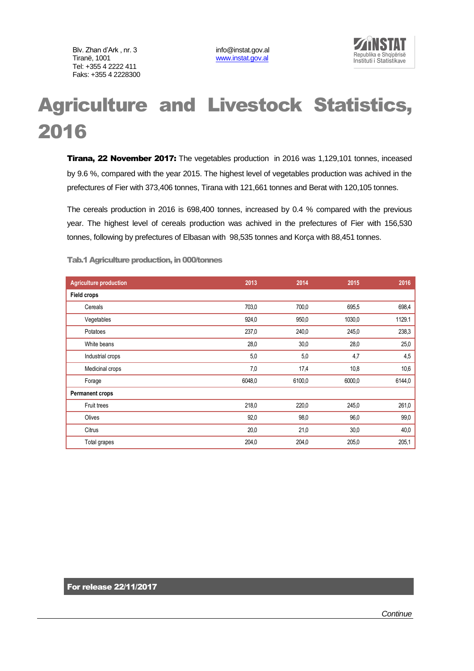Blv. Zhan d'Ark , nr. 3 info@instat.gov.al<br>Tiranë. 1001 info@instat.gov.al Tel: +355 4 2222 411 Faks: +355 4 2228300

[www.instat.gov.al](http://www.instat.gov.al/)



## Agriculture and Livestock Statistics, 2016

**Tirana, 22 November 2017:** The vegetables production in 2016 was 1,129,101 tonnes, inceased by 9.6 %, compared with the year 2015. The highest level of vegetables production was achived in the prefectures of Fier with 373,406 tonnes, Tirana with 121,661 tonnes and Berat with 120,105 tonnes.

The cereals production in 2016 is 698,400 tonnes, increased by 0.4 % compared with the previous year. The highest level of cereals production was achived in the prefectures of Fier with 156,530 tonnes, following by prefectures of Elbasan with 98,535 tonnes and Korça with 88,451 tonnes.

| <b>Agriculture production</b> | 2013   | 2014   | 2015   | 2016   |
|-------------------------------|--------|--------|--------|--------|
| <b>Field crops</b>            |        |        |        |        |
| Cereals                       | 703,0  | 700,0  | 695,5  | 698,4  |
| Vegetables                    | 924,0  | 950,0  | 1030,0 | 1129.1 |
| Potatoes                      | 237,0  | 240,0  | 245,0  | 238,3  |
| White beans                   | 28,0   | 30,0   | 28,0   | 25,0   |
| Industrial crops              | 5,0    | 5,0    | 4,7    | 4,5    |
| Medicinal crops               | 7,0    | 17,4   | 10,8   | 10,6   |
| Forage                        | 6048,0 | 6100,0 | 6000,0 | 6144,0 |
| <b>Permanent crops</b>        |        |        |        |        |
| Fruit trees                   | 218,0  | 220,0  | 245,0  | 261,0  |
| Olives                        | 92,0   | 98,0   | 96,0   | 99,0   |
| Citrus                        | 20,0   | 21,0   | 30,0   | 40,0   |
| Total grapes                  | 204,0  | 204,0  | 205,0  | 205,1  |

Tab.1 Agriculture production, in 000/tonnes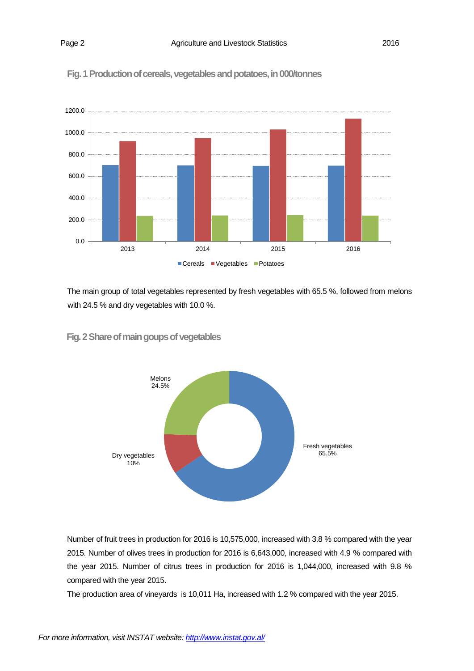



The main group of total vegetables represented by fresh vegetables with 65.5 %, followed from melons with 24.5 % and dry vegetables with 10.0 %.

### **Fig. 2Share of main goups of vegetables**



Number of fruit trees in production for 2016 is 10,575,000, increased with 3.8 % compared with the year 2015. Number of olives trees in production for 2016 is 6,643,000, increased with 4.9 % compared with the year 2015. Number of citrus trees in production for 2016 is 1,044,000, increased with 9.8 % compared with the year 2015.

The production area of vineyards is 10,011 Ha, increased with 1.2 % compared with the year 2015.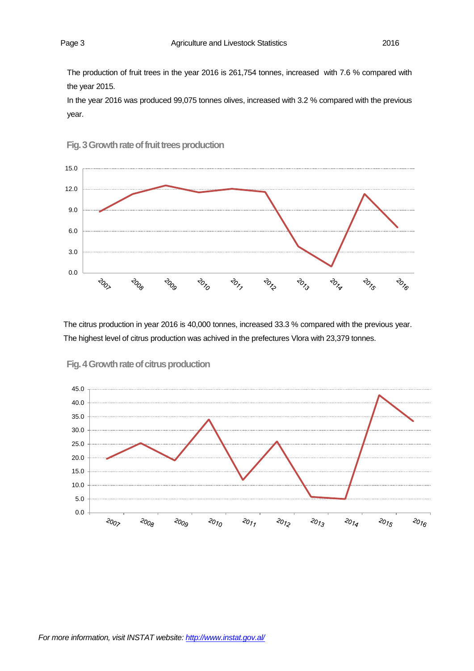The production of fruit trees in the year 2016 is 261,754 tonnes, increased with 7.6 % compared with the year 2015.

In the year 2016 was produced 99,075 tonnes olives, increased with 3.2 % compared with the previous year.





The citrus production in year 2016 is 40,000 tonnes, increased 33.3 % compared with the previous year. The highest level of citrus production was achived in the prefectures Vlora with 23,379 tonnes.



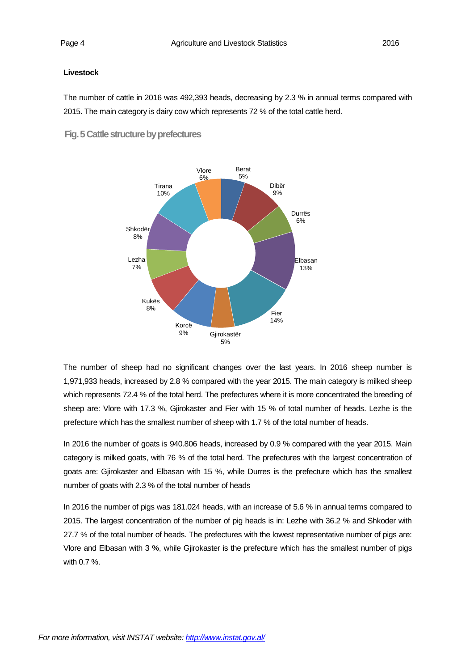#### **Livestock**

The number of cattle in 2016 was 492,393 heads, decreasing by 2.3 % in annual terms compared with 2015. The main category is dairy cow which represents 72 % of the total cattle herd.

 **Fig. 5 Cattle structure by prefectures**



The number of sheep had no significant changes over the last years. In 2016 sheep number is 1,971,933 heads, increased by 2.8 % compared with the year 2015. The main category is milked sheep which represents 72.4 % of the total herd. The prefectures where it is more concentrated the breeding of sheep are: Vlore with 17.3 %, Gjirokaster and Fier with 15 % of total number of heads. Lezhe is the prefecture which has the smallest number of sheep with 1.7 % of the total number of heads.

In 2016 the number of goats is 940.806 heads, increased by 0.9 % compared with the year 2015. Main category is milked goats, with 76 % of the total herd. The prefectures with the largest concentration of goats are: Gjirokaster and Elbasan with 15 %, while Durres is the prefecture which has the smallest number of goats with 2.3 % of the total number of heads

In 2016 the number of pigs was 181.024 heads, with an increase of 5.6 % in annual terms compared to 2015. The largest concentration of the number of pig heads is in: Lezhe with 36.2 % and Shkoder with 27.7 % of the total number of heads. The prefectures with the lowest representative number of pigs are: Vlore and Elbasan with 3 %, while Gjirokaster is the prefecture which has the smallest number of pigs with 0.7 %.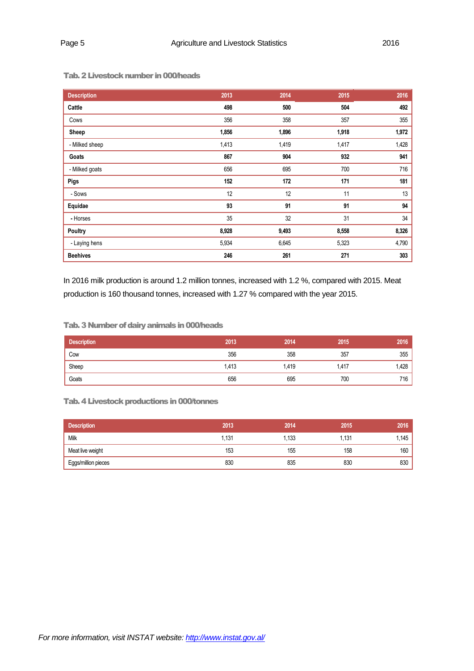| <b>Description</b> | 2013  | 2014  | 2015  | 2016  |
|--------------------|-------|-------|-------|-------|
| Cattle             | 498   | 500   | 504   | 492   |
| Cows               | 356   | 358   | 357   | 355   |
| Sheep              | 1,856 | 1,896 | 1,918 | 1,972 |
| - Milked sheep     | 1,413 | 1,419 | 1,417 | 1,428 |
| Goats              | 867   | 904   | 932   | 941   |
| - Milked goats     | 656   | 695   | 700   | 716   |
| Pigs               | 152   | 172   | 171   | 181   |
| - Sows             | 12    | 12    | 11    | 13    |
| Equidae            | 93    | 91    | 91    | 94    |
| - Horses           | 35    | 32    | 31    | 34    |
| <b>Poultry</b>     | 8,928 | 9,493 | 8,558 | 8,326 |
| - Laying hens      | 5,934 | 6,645 | 5,323 | 4,790 |
| <b>Beehives</b>    | 246   | 261   | 271   | 303   |

Tab.2 Livestock number in 000/heads

In 2016 milk production is around 1.2 million tonnes, increased with 1.2 %, compared with 2015. Meat production is 160 thousand tonnes, increased with 1.27 % compared with the year 2015.

#### Tab.3 Number of dairy animals in 000/heads

| <b>Description</b> | 2013  | 2014  | 2015  | 2016 |
|--------------------|-------|-------|-------|------|
| Cow                | 356   | 358   | 357   | 355  |
| Sheep              | 1,413 | 1,419 | 1,417 | .428 |
| Goats              | 656   | 695   | 700   | 716  |

#### Tab.4 Livestock productions in 000/tonnes

| <b>Description</b>  | 2013 | 2014  | 2015 | 2016 |
|---------------------|------|-------|------|------|
| Milk                | 131. | . 133 | .131 | .145 |
| Meat live weight    | 153  | 155   | 158  | 160  |
| Eggs/million pieces | 830  | 835   | 830  | 830  |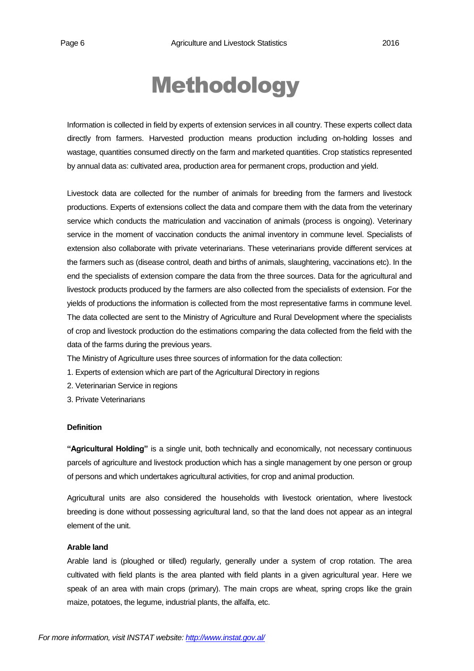# Methodology

Information is collected in field by experts of extension services in all country. These experts collect data directly from farmers. Harvested production means production including on-holding losses and wastage, quantities consumed directly on the farm and marketed quantities. Crop statistics represented by annual data as: cultivated area, production area for permanent crops, production and yield.

Livestock data are collected for the number of animals for breeding from the farmers and livestock productions. Experts of extensions collect the data and compare them with the data from the veterinary service which conducts the matriculation and vaccination of animals (process is ongoing). Veterinary service in the moment of vaccination conducts the animal inventory in commune level. Specialists of extension also collaborate with private veterinarians. These veterinarians provide different services at the farmers such as (disease control, death and births of animals, slaughtering, vaccinations etc). In the end the specialists of extension compare the data from the three sources. Data for the agricultural and livestock products produced by the farmers are also collected from the specialists of extension. For the yields of productions the information is collected from the most representative farms in commune level. The data collected are sent to the Ministry of Agriculture and Rural Development where the specialists of crop and livestock production do the estimations comparing the data collected from the field with the data of the farms during the previous years.

The Ministry of Agriculture uses three sources of information for the data collection:

- 1. Experts of extension which are part of the Agricultural Directory in regions
- 2. Veterinarian Service in regions
- 3. Private Veterinarians

#### **Definition**

**"Agricultural Holding"** is a single unit, both technically and economically, not necessary continuous parcels of agriculture and livestock production which has a single management by one person or group of persons and which undertakes agricultural activities, for crop and animal production.

Agricultural units are also considered the households with livestock orientation, where livestock breeding is done without possessing agricultural land, so that the land does not appear as an integral element of the unit.

#### **Arable land**

Arable land is (ploughed or tilled) regularly, generally under a system of crop rotation. The area cultivated with field plants is the area planted with field plants in a given agricultural year. Here we speak of an area with main crops (primary). The main crops are wheat, spring crops like the grain maize, potatoes, the legume, industrial plants, the alfalfa, etc.